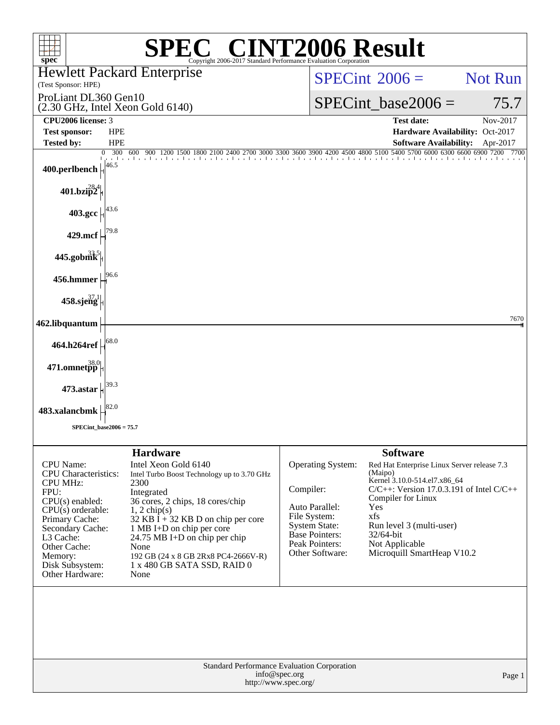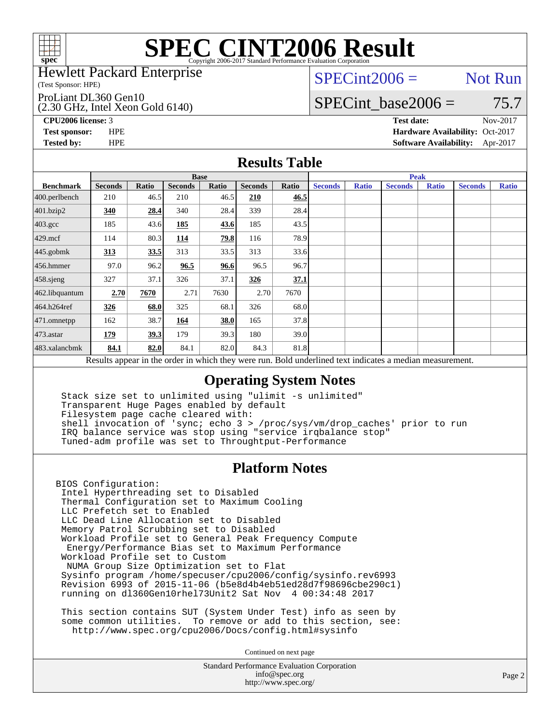

#### Hewlett Packard Enterprise

(Test Sponsor: HPE)

#### ProLiant DL360 Gen10

(2.30 GHz, Intel Xeon Gold 6140)

 $SPECint2006 =$  Not Run

### SPECint base2006 =  $75.7$

**[CPU2006 license:](http://www.spec.org/auto/cpu2006/Docs/result-fields.html#CPU2006license)** 3 **[Test date:](http://www.spec.org/auto/cpu2006/Docs/result-fields.html#Testdate)** Nov-2017

**[Test sponsor:](http://www.spec.org/auto/cpu2006/Docs/result-fields.html#Testsponsor)** HPE **[Hardware Availability:](http://www.spec.org/auto/cpu2006/Docs/result-fields.html#HardwareAvailability)** Oct-2017 **[Tested by:](http://www.spec.org/auto/cpu2006/Docs/result-fields.html#Testedby)** HPE **[Software Availability:](http://www.spec.org/auto/cpu2006/Docs/result-fields.html#SoftwareAvailability)** Apr-2017

### **[Results Table](http://www.spec.org/auto/cpu2006/Docs/result-fields.html#ResultsTable)**

|                                                                                                          | <b>Base</b>    |       |                |       |                |       | <b>Peak</b>    |              |                |              |                |              |
|----------------------------------------------------------------------------------------------------------|----------------|-------|----------------|-------|----------------|-------|----------------|--------------|----------------|--------------|----------------|--------------|
| <b>Benchmark</b>                                                                                         | <b>Seconds</b> | Ratio | <b>Seconds</b> | Ratio | <b>Seconds</b> | Ratio | <b>Seconds</b> | <b>Ratio</b> | <b>Seconds</b> | <b>Ratio</b> | <b>Seconds</b> | <b>Ratio</b> |
| $400.$ perlbench                                                                                         | 210            | 46.5  | 210            | 46.5  | 210            | 46.5  |                |              |                |              |                |              |
| 401.bzip2                                                                                                | 340            | 28.4  | 340            | 28.4  | 339            | 28.4  |                |              |                |              |                |              |
| $403.\mathrm{gcc}$                                                                                       | 185            | 43.6  | 185            | 43.6  | 185            | 43.5  |                |              |                |              |                |              |
| $429$ .mcf                                                                                               | 114            | 80.3  | 114            | 79.8  | 116            | 78.9  |                |              |                |              |                |              |
| $445$ .gobmk                                                                                             | 313            | 33.5  | 313            | 33.5  | 313            | 33.6  |                |              |                |              |                |              |
| $456.$ hmmer                                                                                             | 97.0           | 96.2  | 96.5           | 96.6  | 96.5           | 96.7  |                |              |                |              |                |              |
| 458.sjeng                                                                                                | 327            | 37.1  | 326            | 37.1  | 326            | 37.1  |                |              |                |              |                |              |
| 462.libquantum                                                                                           | 2.70           | 7670  | 2.71           | 7630  | 2.70           | 7670  |                |              |                |              |                |              |
| 464.h264ref                                                                                              | 326            | 68.0  | 325            | 68.1  | 326            | 68.0  |                |              |                |              |                |              |
| $ 471$ .omnetpp                                                                                          | 162            | 38.7  | 164            | 38.0  | 165            | 37.8  |                |              |                |              |                |              |
| $473$ . astar                                                                                            | 179            | 39.3  | 179            | 39.3  | 180            | 39.0  |                |              |                |              |                |              |
| 483.xalancbmk                                                                                            | 84.1           | 82.0  | 84.1           | 82.0  | 84.3           | 81.8  |                |              |                |              |                |              |
| Results appear in the order in which they were run. Bold underlined text indicates a median measurement. |                |       |                |       |                |       |                |              |                |              |                |              |

### **[Operating System Notes](http://www.spec.org/auto/cpu2006/Docs/result-fields.html#OperatingSystemNotes)**

 Stack size set to unlimited using "ulimit -s unlimited" Transparent Huge Pages enabled by default Filesystem page cache cleared with: shell invocation of 'sync; echo 3 > /proc/sys/vm/drop\_caches' prior to run IRQ balance service was stop using "service irqbalance stop" Tuned-adm profile was set to Throughtput-Performance

### **[Platform Notes](http://www.spec.org/auto/cpu2006/Docs/result-fields.html#PlatformNotes)**

BIOS Configuration: Intel Hyperthreading set to Disabled Thermal Configuration set to Maximum Cooling LLC Prefetch set to Enabled LLC Dead Line Allocation set to Disabled Memory Patrol Scrubbing set to Disabled Workload Profile set to General Peak Frequency Compute Energy/Performance Bias set to Maximum Performance Workload Profile set to Custom NUMA Group Size Optimization set to Flat Sysinfo program /home/specuser/cpu2006/config/sysinfo.rev6993 Revision 6993 of 2015-11-06 (b5e8d4b4eb51ed28d7f98696cbe290c1) running on dl360Gen10rhel73Unit2 Sat Nov 4 00:34:48 2017

 This section contains SUT (System Under Test) info as seen by some common utilities. To remove or add to this section, see: <http://www.spec.org/cpu2006/Docs/config.html#sysinfo>

Continued on next page

Standard Performance Evaluation Corporation [info@spec.org](mailto:info@spec.org) <http://www.spec.org/>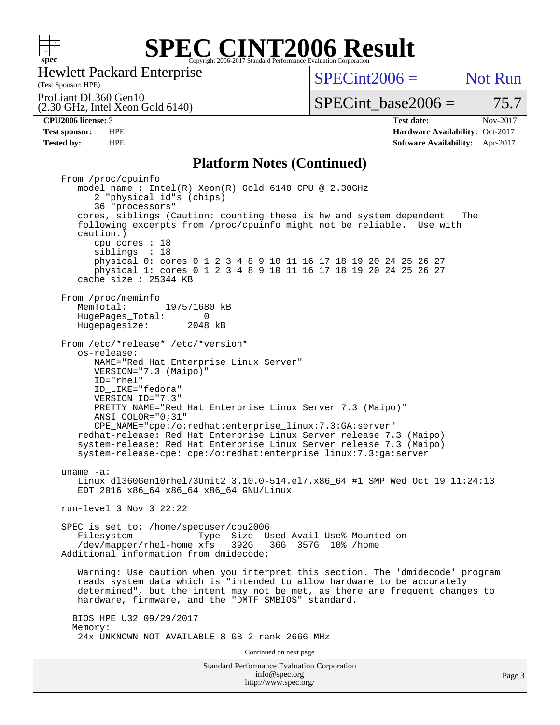

Hewlett Packard Enterprise

(2.30 GHz, Intel Xeon Gold 6140)

(Test Sponsor: HPE)

 $SPECint2006 =$  Not Run

ProLiant DL360 Gen10

SPECint base2006 =  $75.7$ 

**[CPU2006 license:](http://www.spec.org/auto/cpu2006/Docs/result-fields.html#CPU2006license)** 3 **[Test date:](http://www.spec.org/auto/cpu2006/Docs/result-fields.html#Testdate)** Nov-2017 **[Test sponsor:](http://www.spec.org/auto/cpu2006/Docs/result-fields.html#Testsponsor)** HPE **[Hardware Availability:](http://www.spec.org/auto/cpu2006/Docs/result-fields.html#HardwareAvailability)** Oct-2017 **[Tested by:](http://www.spec.org/auto/cpu2006/Docs/result-fields.html#Testedby)** HPE **[Software Availability:](http://www.spec.org/auto/cpu2006/Docs/result-fields.html#SoftwareAvailability)** Apr-2017

### **[Platform Notes \(Continued\)](http://www.spec.org/auto/cpu2006/Docs/result-fields.html#PlatformNotes)**

Standard Performance Evaluation Corporation [info@spec.org](mailto:info@spec.org) Page 3 From /proc/cpuinfo model name : Intel(R) Xeon(R) Gold 6140 CPU @ 2.30GHz 2 "physical id"s (chips) 36 "processors" cores, siblings (Caution: counting these is hw and system dependent. The following excerpts from /proc/cpuinfo might not be reliable. Use with caution.) cpu cores : 18 siblings : 18 physical 0: cores 0 1 2 3 4 8 9 10 11 16 17 18 19 20 24 25 26 27 physical 1: cores 0 1 2 3 4 8 9 10 11 16 17 18 19 20 24 25 26 27 cache size : 25344 KB From /proc/meminfo<br>MemTotal: 197571680 kB HugePages\_Total: 0<br>Hugepagesize: 2048 kB Hugepagesize: From /etc/\*release\* /etc/\*version\* os-release: NAME="Red Hat Enterprise Linux Server" VERSION="7.3 (Maipo)" ID="rhel" ID\_LIKE="fedora" VERSION\_ID="7.3" PRETTY\_NAME="Red Hat Enterprise Linux Server 7.3 (Maipo)" ANSI\_COLOR="0;31" CPE\_NAME="cpe:/o:redhat:enterprise\_linux:7.3:GA:server" redhat-release: Red Hat Enterprise Linux Server release 7.3 (Maipo) system-release: Red Hat Enterprise Linux Server release 7.3 (Maipo) system-release-cpe: cpe:/o:redhat:enterprise\_linux:7.3:ga:server uname -a: Linux dl360Gen10rhel73Unit2 3.10.0-514.el7.x86\_64 #1 SMP Wed Oct 19 11:24:13 EDT 2016 x86\_64 x86\_64 x86\_64 GNU/Linux run-level 3 Nov 3 22:22 SPEC is set to: /home/specuser/cpu2006 Filesystem Type Size Used Avail Use% Mounted on<br>/dev/mapper/rhel-home xfs 392G 36G 357G 10% /home  $/$ dev/mapper/rhel-home xfs 392G Additional information from dmidecode: Warning: Use caution when you interpret this section. The 'dmidecode' program reads system data which is "intended to allow hardware to be accurately determined", but the intent may not be met, as there are frequent changes to hardware, firmware, and the "DMTF SMBIOS" standard. BIOS HPE U32 09/29/2017 Memory: 24x UNKNOWN NOT AVAILABLE 8 GB 2 rank 2666 MHz Continued on next page

<http://www.spec.org/>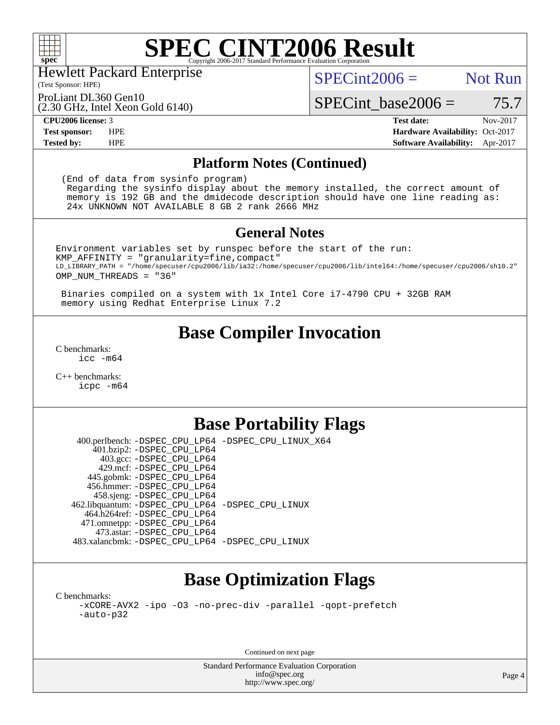

Hewlett Packard Enterprise

(Test Sponsor: HPE)

 $SPECint2006 =$  Not Run

ProLiant DL360 Gen10

(2.30 GHz, Intel Xeon Gold 6140)

**[Tested by:](http://www.spec.org/auto/cpu2006/Docs/result-fields.html#Testedby)** HPE **[Software Availability:](http://www.spec.org/auto/cpu2006/Docs/result-fields.html#SoftwareAvailability)** Apr-2017

 $SPECTnt\_base2006 = 75.7$ **[CPU2006 license:](http://www.spec.org/auto/cpu2006/Docs/result-fields.html#CPU2006license)** 3 **[Test date:](http://www.spec.org/auto/cpu2006/Docs/result-fields.html#Testdate)** Nov-2017 **[Test sponsor:](http://www.spec.org/auto/cpu2006/Docs/result-fields.html#Testsponsor)** HPE **[Hardware Availability:](http://www.spec.org/auto/cpu2006/Docs/result-fields.html#HardwareAvailability)** Oct-2017

### **[Platform Notes \(Continued\)](http://www.spec.org/auto/cpu2006/Docs/result-fields.html#PlatformNotes)**

 (End of data from sysinfo program) Regarding the sysinfo display about the memory installed, the correct amount of memory is 192 GB and the dmidecode description should have one line reading as: 24x UNKNOWN NOT AVAILABLE 8 GB 2 rank 2666 MHz

### **[General Notes](http://www.spec.org/auto/cpu2006/Docs/result-fields.html#GeneralNotes)**

Environment variables set by runspec before the start of the run: KMP\_AFFINITY = "granularity=fine,compact" LD\_LIBRARY\_PATH = "/home/specuser/cpu2006/lib/ia32:/home/specuser/cpu2006/lib/intel64:/home/specuser/cpu2006/sh10.2" OMP\_NUM\_THREADS = "36"

 Binaries compiled on a system with 1x Intel Core i7-4790 CPU + 32GB RAM memory using Redhat Enterprise Linux 7.2

## **[Base Compiler Invocation](http://www.spec.org/auto/cpu2006/Docs/result-fields.html#BaseCompilerInvocation)**

[C benchmarks](http://www.spec.org/auto/cpu2006/Docs/result-fields.html#Cbenchmarks): [icc -m64](http://www.spec.org/cpu2006/results/res2017q4/cpu2006-20171114-50680.flags.html#user_CCbase_intel_icc_64bit_bda6cc9af1fdbb0edc3795bac97ada53)

[C++ benchmarks:](http://www.spec.org/auto/cpu2006/Docs/result-fields.html#CXXbenchmarks) [icpc -m64](http://www.spec.org/cpu2006/results/res2017q4/cpu2006-20171114-50680.flags.html#user_CXXbase_intel_icpc_64bit_fc66a5337ce925472a5c54ad6a0de310)

### **[Base Portability Flags](http://www.spec.org/auto/cpu2006/Docs/result-fields.html#BasePortabilityFlags)**

 400.perlbench: [-DSPEC\\_CPU\\_LP64](http://www.spec.org/cpu2006/results/res2017q4/cpu2006-20171114-50680.flags.html#b400.perlbench_basePORTABILITY_DSPEC_CPU_LP64) [-DSPEC\\_CPU\\_LINUX\\_X64](http://www.spec.org/cpu2006/results/res2017q4/cpu2006-20171114-50680.flags.html#b400.perlbench_baseCPORTABILITY_DSPEC_CPU_LINUX_X64) 401.bzip2: [-DSPEC\\_CPU\\_LP64](http://www.spec.org/cpu2006/results/res2017q4/cpu2006-20171114-50680.flags.html#suite_basePORTABILITY401_bzip2_DSPEC_CPU_LP64) 403.gcc: [-DSPEC\\_CPU\\_LP64](http://www.spec.org/cpu2006/results/res2017q4/cpu2006-20171114-50680.flags.html#suite_basePORTABILITY403_gcc_DSPEC_CPU_LP64) 429.mcf: [-DSPEC\\_CPU\\_LP64](http://www.spec.org/cpu2006/results/res2017q4/cpu2006-20171114-50680.flags.html#suite_basePORTABILITY429_mcf_DSPEC_CPU_LP64) 445.gobmk: [-DSPEC\\_CPU\\_LP64](http://www.spec.org/cpu2006/results/res2017q4/cpu2006-20171114-50680.flags.html#suite_basePORTABILITY445_gobmk_DSPEC_CPU_LP64) 456.hmmer: [-DSPEC\\_CPU\\_LP64](http://www.spec.org/cpu2006/results/res2017q4/cpu2006-20171114-50680.flags.html#suite_basePORTABILITY456_hmmer_DSPEC_CPU_LP64) 458.sjeng: [-DSPEC\\_CPU\\_LP64](http://www.spec.org/cpu2006/results/res2017q4/cpu2006-20171114-50680.flags.html#suite_basePORTABILITY458_sjeng_DSPEC_CPU_LP64) 462.libquantum: [-DSPEC\\_CPU\\_LP64](http://www.spec.org/cpu2006/results/res2017q4/cpu2006-20171114-50680.flags.html#suite_basePORTABILITY462_libquantum_DSPEC_CPU_LP64) [-DSPEC\\_CPU\\_LINUX](http://www.spec.org/cpu2006/results/res2017q4/cpu2006-20171114-50680.flags.html#b462.libquantum_baseCPORTABILITY_DSPEC_CPU_LINUX) 464.h264ref: [-DSPEC\\_CPU\\_LP64](http://www.spec.org/cpu2006/results/res2017q4/cpu2006-20171114-50680.flags.html#suite_basePORTABILITY464_h264ref_DSPEC_CPU_LP64) 471.omnetpp: [-DSPEC\\_CPU\\_LP64](http://www.spec.org/cpu2006/results/res2017q4/cpu2006-20171114-50680.flags.html#suite_basePORTABILITY471_omnetpp_DSPEC_CPU_LP64) 473.astar: [-DSPEC\\_CPU\\_LP64](http://www.spec.org/cpu2006/results/res2017q4/cpu2006-20171114-50680.flags.html#suite_basePORTABILITY473_astar_DSPEC_CPU_LP64) 483.xalancbmk: [-DSPEC\\_CPU\\_LP64](http://www.spec.org/cpu2006/results/res2017q4/cpu2006-20171114-50680.flags.html#suite_basePORTABILITY483_xalancbmk_DSPEC_CPU_LP64) [-DSPEC\\_CPU\\_LINUX](http://www.spec.org/cpu2006/results/res2017q4/cpu2006-20171114-50680.flags.html#b483.xalancbmk_baseCXXPORTABILITY_DSPEC_CPU_LINUX)

# **[Base Optimization Flags](http://www.spec.org/auto/cpu2006/Docs/result-fields.html#BaseOptimizationFlags)**

[C benchmarks](http://www.spec.org/auto/cpu2006/Docs/result-fields.html#Cbenchmarks): [-xCORE-AVX2](http://www.spec.org/cpu2006/results/res2017q4/cpu2006-20171114-50680.flags.html#user_CCbase_f-xCORE-AVX2) [-ipo](http://www.spec.org/cpu2006/results/res2017q4/cpu2006-20171114-50680.flags.html#user_CCbase_f-ipo) [-O3](http://www.spec.org/cpu2006/results/res2017q4/cpu2006-20171114-50680.flags.html#user_CCbase_f-O3) [-no-prec-div](http://www.spec.org/cpu2006/results/res2017q4/cpu2006-20171114-50680.flags.html#user_CCbase_f-no-prec-div) [-parallel](http://www.spec.org/cpu2006/results/res2017q4/cpu2006-20171114-50680.flags.html#user_CCbase_f-parallel) [-qopt-prefetch](http://www.spec.org/cpu2006/results/res2017q4/cpu2006-20171114-50680.flags.html#user_CCbase_f-qopt-prefetch) [-auto-p32](http://www.spec.org/cpu2006/results/res2017q4/cpu2006-20171114-50680.flags.html#user_CCbase_f-auto-p32)

Continued on next page

Standard Performance Evaluation Corporation [info@spec.org](mailto:info@spec.org) <http://www.spec.org/>